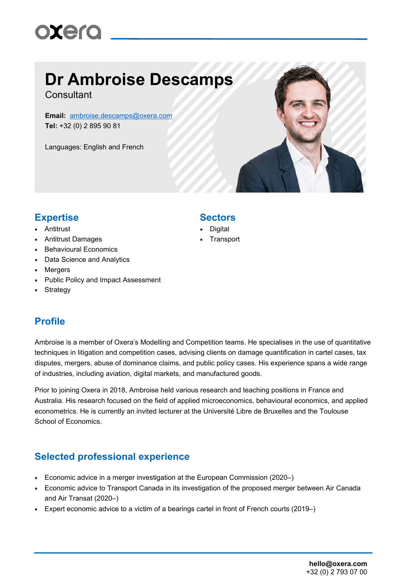## **Dr Ambroise Descamps**

**Consultant** 

**Email:** ambroise.descamps@oxera.com **Tel:** +32 (0) 2 895 90 81

Languages: English and French



### **Expertise Sectors**

- Antitrust
- Antitrust Damages
- Behavioural Economics
- Data Science and Analytics
- Mergers
- Public Policy and Impact Assessment
- Strategy

#### **Profile**

Ambroise is a member of Oxera's Modelling and Competition teams. He specialises in the use of quantitative techniques in litigation and competition cases, advising clients on damage quantification in cartel cases, tax disputes, mergers, abuse of dominance claims, and public policy cases. His experience spans a wide range of industries, including aviation, digital markets, and manufactured goods.

Prior to joining Oxera in 2018, Ambroise held various research and teaching positions in France and Australia. His research focused on the field of applied microeconomics, behavioural economics, and applied econometrics. He is currently an invited lecturer at the Université Libre de Bruxelles and the Toulouse School of Economics.

#### **Selected professional experience**

- Economic advice in a merger investigation at the European Commission (2020–)
- Economic advice to Transport Canada in its investigation of the proposed merger between Air Canada and Air Transat (2020–)
- Expert economic advice to a victim of a bearings cartel in front of French courts (2019–)

- **Digital**
- **Transport**